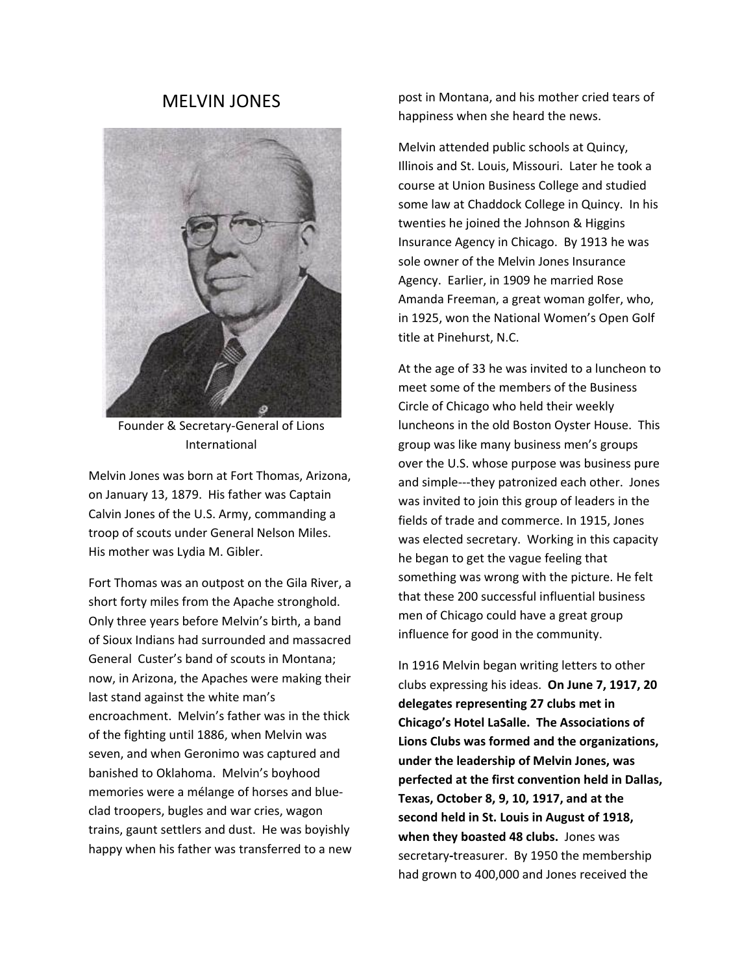## MELVIN JONES



Founder & Secretary‐General of Lions International

Melvin Jones was born at Fort Thomas, Arizona, on January 13, 1879. His father was Captain Calvin Jones of the U.S. Army, commanding a troop of scouts under General Nelson Miles. His mother was Lydia M. Gibler.

Fort Thomas was an outpost on the Gila River, a short forty miles from the Apache stronghold. Only three years before Melvin's birth, a band of Sioux Indians had surrounded and massacred General Custer's band of scouts in Montana; now, in Arizona, the Apaches were making their last stand against the white man's encroachment. Melvin's father was in the thick of the fighting until 1886, when Melvin was seven, and when Geronimo was captured and banished to Oklahoma. Melvin's boyhood memories were a mélange of horses and blue‐ clad troopers, bugles and war cries, wagon trains, gaunt settlers and dust. He was boyishly happy when his father was transferred to a new

post in Montana, and his mother cried tears of happiness when she heard the news.

Melvin attended public schools at Quincy, Illinois and St. Louis, Missouri. Later he took a course at Union Business College and studied some law at Chaddock College in Quincy. In his twenties he joined the Johnson & Higgins Insurance Agency in Chicago. By 1913 he was sole owner of the Melvin Jones Insurance Agency. Earlier, in 1909 he married Rose Amanda Freeman, a great woman golfer, who, in 1925, won the National Women's Open Golf title at Pinehurst, N.C.

At the age of 33 he was invited to a luncheon to meet some of the members of the Business Circle of Chicago who held their weekly luncheons in the old Boston Oyster House. This group was like many business men's groups over the U.S. whose purpose was business pure and simple‐‐‐they patronized each other. Jones was invited to join this group of leaders in the fields of trade and commerce. In 1915, Jones was elected secretary. Working in this capacity he began to get the vague feeling that something was wrong with the picture. He felt that these 200 successful influential business men of Chicago could have a great group influence for good in the community.

In 1916 Melvin began writing letters to other clubs expressing his ideas. **On June 7, 1917, 20 delegates representing 27 clubs met in Chicago's Hotel LaSalle. The Associations of Lions Clubs was formed and the organizations, under the leadership of Melvin Jones, was perfected at the first convention held in Dallas, Texas, October 8, 9, 10, 1917, and at the second held in St. Louis in August of 1918, when they boasted 48 clubs.** Jones was secretary**‐**treasurer. By 1950 the membership had grown to 400,000 and Jones received the